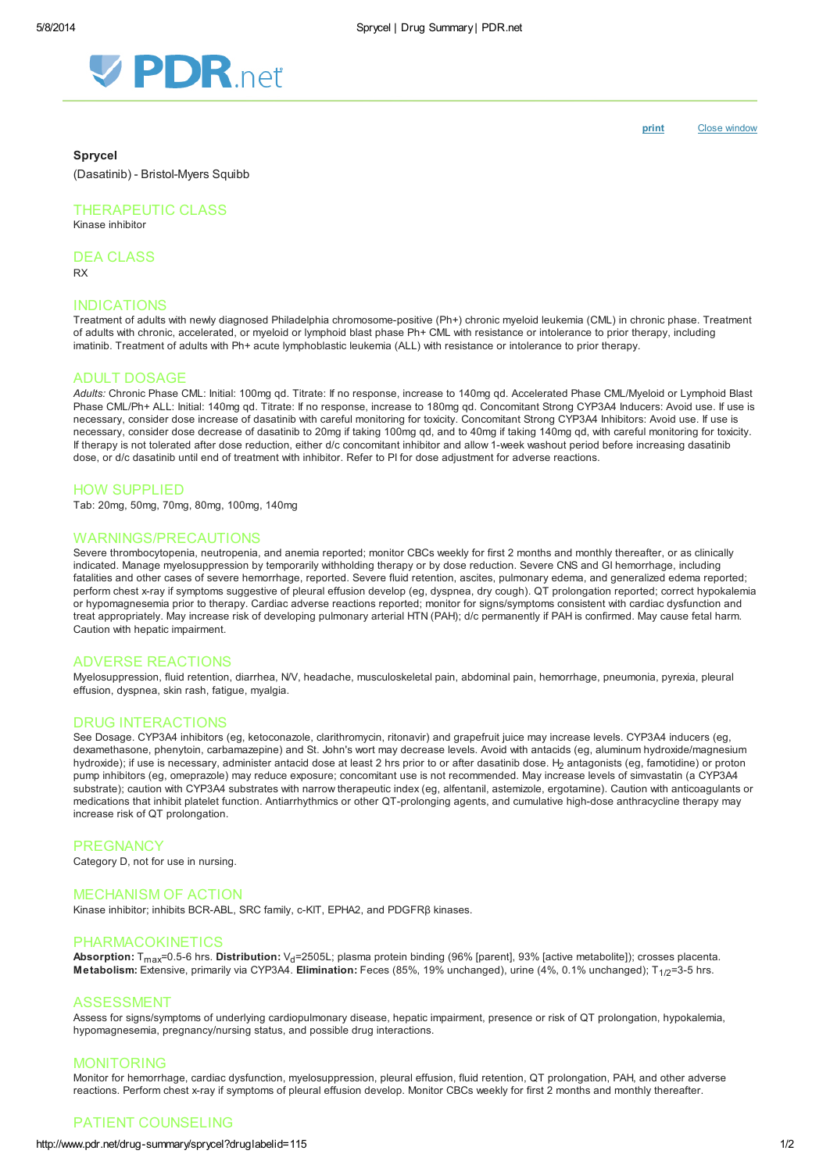

[print](http://www.pdr.net/Custom/UI/UserControls/#) Close window

#### Sprycel

(Dasatinib) - Bristol-Myers Squibb

# THERAPEUTIC CLASS

Kinase inhibitor

DEA CLASS

RX

# INDICATIONS

Treatment of adults with newly diagnosed Philadelphia chromosome-positive (Ph+) chronic myeloid leukemia (CML) in chronic phase. Treatment of adults with chronic, accelerated, or myeloid or lymphoid blast phase Ph+ CML with resistance or intolerance to prior therapy, including imatinib. Treatment of adults with Ph+ acute lymphoblastic leukemia (ALL) with resistance or intolerance to prior therapy.

## ADULT DOSAGE

Adults: Chronic Phase CML: Initial: 100mg qd. Titrate: If no response, increase to 140mg qd. Accelerated Phase CML/Myeloid or Lymphoid Blast Phase CML/Ph+ ALL: Initial: 140mg qd. Titrate: If no response, increase to 180mg qd. Concomitant Strong CYP3A4 Inducers: Avoid use. If use is necessary, consider dose increase of dasatinib with careful monitoring for toxicity. Concomitant Strong CYP3A4 Inhibitors: Avoid use. If use is necessary, consider dose decrease of dasatinib to 20mg if taking 100mg qd, and to 40mg if taking 140mg qd, with careful monitoring for toxicity. If therapy is not tolerated after dose reduction, either d/c concomitant inhibitor and allow 1-week washout period before increasing dasatinib dose, or d/c dasatinib until end of treatment with inhibitor. Refer to PI for dose adjustment for adverse reactions.

### HOW SUPPLIED

Tab: 20mg, 50mg, 70mg, 80mg, 100mg, 140mg

#### WARNINGS/PRECAUTIONS

Severe thrombocytopenia, neutropenia, and anemia reported; monitor CBCs weekly for first 2 months and monthly thereafter, or as clinically indicated. Manage myelosuppression by temporarily withholding therapy or by dose reduction. Severe CNS and GI hemorrhage, including fatalities and other cases of severe hemorrhage, reported. Severe fluid retention, ascites, pulmonary edema, and generalized edema reported; perform chest x-ray if symptoms suggestive of pleural effusion develop (eg, dyspnea, dry cough). QT prolongation reported; correct hypokalemia or hypomagnesemia prior to therapy. Cardiac adverse reactions reported; monitor for signs/symptoms consistent with cardiac dysfunction and treat appropriately. May increase risk of developing pulmonary arterial HTN (PAH); d/c permanently if PAH is confirmed. May cause fetal harm. Caution with hepatic impairment.

#### ADVERSE REACTIONS

Myelosuppression, fluid retention, diarrhea, N/V, headache, musculoskeletal pain, abdominal pain, hemorrhage, pneumonia, pyrexia, pleural effusion, dyspnea, skin rash, fatigue, myalgia.

## DRUG INTERACTIONS

See Dosage. CYP3A4 inhibitors (eg, ketoconazole, clarithromycin, ritonavir) and grapefruit juice may increase levels. CYP3A4 inducers (eg, dexamethasone, phenytoin, carbamazepine) and St. John's wort may decrease levels. Avoid with antacids (eg, aluminum hydroxide/magnesium hydroxide); if use is necessary, administer antacid dose at least 2 hrs prior to or after dasatinib dose. H<sub>2</sub> antagonists (eg, famotidine) or proton pump inhibitors (eg, omeprazole) may reduce exposure; concomitant use is not recommended. May increase levels of simvastatin (a CYP3A4 substrate); caution with CYP3A4 substrates with narrow therapeutic index (eg, alfentanil, astemizole, ergotamine). Caution with anticoagulants or medications that inhibit platelet function. Antiarrhythmics or other QT-prolonging agents, and cumulative high-dose anthracycline therapy may increase risk of QT prolongation.

#### **PREGNANCY**

Category D, not for use in nursing.

### MECHANISM OF ACTION

Kinase inhibitor; inhibits BCR-ABL, SRC family, c-KIT, EPHA2, and PDGFRβ kinases.

## PHARMACOKINETICS

Absorption:  $T_{max}=0.5-6$  hrs. Distribution:  $V_d=2505L$ ; plasma protein binding (96% [parent], 93% [active metabolite]); crosses placenta. Metabolism: Extensive, primarily via CYP3A4. Elimination: Feces (85%, 19% unchanged), urine (4%, 0.1% unchanged);  $T_{1/2}=3-5$  hrs.

#### ASSESSMENT

Assess for signs/symptoms of underlying cardiopulmonary disease, hepatic impairment, presence or risk of QT prolongation, hypokalemia, hypomagnesemia, pregnancy/nursing status, and possible drug interactions.

### MONITORING

Monitor for hemorrhage, cardiac dysfunction, myelosuppression, pleural effusion, fluid retention, QT prolongation, PAH, and other adverse reactions. Perform chest x-ray if symptoms of pleural effusion develop. Monitor CBCs weekly for first 2 months and monthly thereafter.

## PATIENT COUNSELING

#### http://www.pdr.net/drug-summary/sprycel?druglabelid=115 1/2